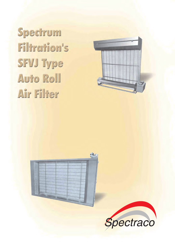Specirum **Filtration's SFVJ Type** Auto Roll Air Filier



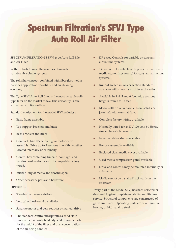# Spectrum Filtration's SFVJ Type Auto Roll Air Filter

### SPECTRUM FILTRATION'S SFVJ type Auto Roll File and Air Filter

With controls to meet the complex demands of variable air volume systems.

The roll filter concept combined with fiberglass media provides application versatility and air cleaning economy.

The Type SFVJ Auto Roll filter is the most versatile rolltype filter on the market today. This versatility is due to the many options offered.

Standard equipment for the model SFVJ includes :

- Basic frame assembly
- Top support brackets and brace
- Base brackets and brace
- Compact, 1/4 HP enclosed gear motor drive assembly. Drive up to 3 sections in width, whether located internally or externally
- Control box containing timer, runout light and hand-off-auto selector switch completely factory wired.
- Initial filling of media and rewind spool.
- Other necessary parts and hardware

#### **OPTIONS :**

- Standard or reverse airflow
- Vertical or horizontal installation
- Separate motor and gear reducer or manual drive
- The standard control incorporates a solid state timer which is easily field adjusted to compensate for the height of the filter and dust concentration of the air being handled.
- DP based Controls for variable or constant air volume systems
- **Timer control available with pressure override or** media economizer control for constant air volume systems
- Runout switch in master section standard available with runout switch in each section
- Available in 3, 4, 5 and 6 foot wide sections heights from 5 to 15 feet
- Media rolls drive in parallel from solid steel jackshaft with external drive
- Complete factory wiring available
- Normally wired for 24 DV 120 volt, 50 Hertz, single phase/3Ph currents
- Extended drive shafts available
- Factory assembly available
- l Enclosed clean media cover available
- **•** Used media compression panel available
- Drive and controls may be mounted internally or externally
- Media cannot be installed backwards in the airstream

Every part of the Model SFVJ has been selected or designed to give complete reliability and lifetime service. Structural components are constructed of galvanized steel. Operating parts are of aluminum, bronze, or high quality steel.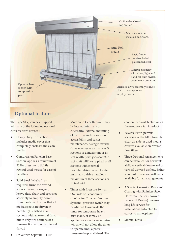

# **Optional features**

The Type SFVJ can be equipped with any of the following optional extra features desired :

- **Heavy Duty Top Section** includes media cover that completely encloses the clean media
- Compression Panel in Base Section applies a minimum of 50 lbs pressure to tightly rewind used media for ease of handling
- Solid Steel Jackshaft as required, turns the rewind spools through a rugged, heavy duty chain and sprocket assembly to amplify power from the drive. Insures that all media spools are driven in parallel. (Furnished in all sections with an external drive but in only two sections of a three-section unit with internal drive.)
- Drive with Separate 1/4 HP

Motor and Gear Reducer may be located internally or externally. External mounting of the drive makes for more accessibility and easier maintenance. A single external drive may serve as many as 3 sections or a maximum of 18 feet width (with jackshafts). A jackshaft will be supplied in all sections with external mounted drive. When located internally a drive handles a maximum of three sections or 18 feet width.

 $\bullet$  Timer with Pressure Switch Override or Economizer Control for Constant Volume Systems pressure switch may be utilized to override the timer for temporary heavy dust loads, or it may be applied as a media economizer which will not allow the timer to operate until a preset pressure drop is attained. The

economizer switch eliminates the need for a fan interlock.

- Reverse Flow permits servicing of the filter from the clean air side. A used media cover is available on reverse flow filters.
- Three Optional Arrangements can be installed for horizontal airflow, vertical downward or vertical upward airflow. Either standard or reverse airflow is available for all arrangements.
- A Special Corrosion Resistant Coating with Stainless Steel Hardware (better known as Papermill Design) insures long life service for installations subjected to corrosive atmosphere.
- lManual Drive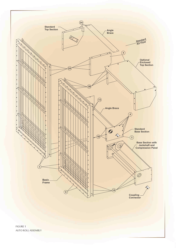

FIGURE 1 AUTO ROLL ASSEMBLY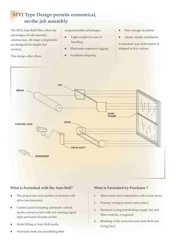# **SFVJ Type Design permits economical, on-the job assembly**

The SFVJ Auto Roll Filter offers the advantages of sub-assembly construction. All major components are designed for simple fast erection.

#### This design offers these

unquestionable advantages:

- Light weight for ease of handling
- lEliminates expensive rigging
- Facilitates shipping
- Easy storage on jobsite
- Quick, simple installation

A standard Auto Roll section is shipped in five cartons.



## **What is Furnished with the Auto Roll?**

- The proper size and number of sections with drive mechanism(s)
- Control panel including automatic control, media runout switch with red warning signal light and hand-off-auto switch
- Initial filling of Auto Roll media
- lNecessary bolts for assembling filter

# **What is Furnished by Purchaser ?**

- 1. Sheet metal duct connections with access doors
- 2. Primary wiring to motor and control
- 3. Electrical wiring interlocking supply fan and filter controls, if required
- 4. Blanking of the areas between Auto Roll and fixing Duct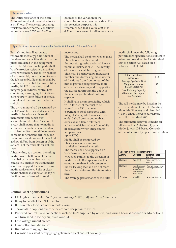#### Performance data

The initial resistance of the clean Auto Roll media at its rated velocity is 0.18" w.g. The average operating resistance under normal conditions varies between 0.35" and 0.45" w.g.

because of the variation in the concentration of atmospheric dust. For fan selection purposes it is recommended that a value of 0.4" to 0.5" w.g. be allowed for filter resistance.

#### Specifications : Automatic Renewable Media Air Filter with DP based Control

Furnish and install automatic renewable media type air filters of the sizes and capacities shown on the plans and listed in the equipment schedule. All sheet metal parts shall be of corrosion resistant galvanized steel construction. The filters shall be of sub assembly construction for onthe-job assembly. Each filter shall be complete with initial loading of filter media, 1/4 HP drive motor and integral gear reducer, control box containing warning light to indicate either supply lamp failure or media runout, and hand-off-auto selector switch.

The drive motor shall be actuated by the DP switch which shall cause the media to be advanced is small increments only when dust accumulation dictates. The control circuit shall insure that no media is fed when the system is inoperative, shall feed uniform small increments of media for constant dirt load, and not require recalibration if the actual airflow differs from design or if the system is of the variable air volume type.

A heavy duty top section, including media cover, shall prevent media from being installed backwards, completely enclose the clean media spool and support the spool during media replacement. Rolls of clean media shall be installed at the top of the filter and advanced in small

#### increments.

The media shall be of non woven glass fibres bonded with a cured thermosetting resin, and shall have a nominal thickness of 2". The density of the media shall be progressive. This shall be achieved by increasing number and decreasing the diameter of the fibres from front to rear of the mat to provide progressively more efficient air cleaning and to apportion the dust load through the depth of the mat for greater dust-holding capacity.

It shall have a compressibility which will allow 65' of material to be wound on a 13" diameter, expendable, steel core spool with integral steel guide flanges at both ends. It shall be charged with an odorless and flame retardant adhesive which shall not flow while in storage nor when subjected to temperatures up to  $80^{\circ}$  C.

Media shall be reinforced by fiber glass screen running parallel to the media length. The media shall be supported on both faces in the airstream by wire rods parallel to the direction of media travel . Rod spacing shall be on not more than 3 inch centers on the air leaving face and on not more than 6 inch centers on the air entering face.

The average performance of the filter

media shall meet the following performance specifications (subject to tolerance prescribed in ARI standard 850-84 Section 7.4) based on a velocity of 500 FPM.

| Initial Resistance<br>(Inches $W.G$ )                                           | 0.18 |
|---------------------------------------------------------------------------------|------|
| <b>Average Synthetic Dust</b><br><b>Weight Arrestance</b><br>(Steady State) (%) | 83   |
| <b>Dust Holding Capacity</b><br>(Dynamic) Per Square<br>Foot (Grams)            | 90   |

The roll media may be listed in the current edition of the U.L. Building Materials Directory and classified Class 2 when tested in accordance with U.L. Standard 900.

The automatic renewable media air filters shall be Auto Roll, Type V, Model J, with (DP based Control) as manufactured by Spectrum Filtration.

| <b>Selection of Auto Roll Filter Control</b> |                                                                                                    |                                                        |  |  |  |  |  |  |  |  |  |
|----------------------------------------------|----------------------------------------------------------------------------------------------------|--------------------------------------------------------|--|--|--|--|--|--|--|--|--|
| <b>Airflow</b>                               | <b>Dustload</b>                                                                                    | <b>Recommended</b><br><b>Control</b>                   |  |  |  |  |  |  |  |  |  |
| Constant                                     | Constant                                                                                           | Timer, pressure<br>switch                              |  |  |  |  |  |  |  |  |  |
| Constant                                     | Normally constant<br>but with potential<br>for an increase in<br>load on an inter<br>mittent bases | Timer with pressure switch<br>override pressure switch |  |  |  |  |  |  |  |  |  |
| Constant                                     | Variable                                                                                           | <b>Pressure Switch</b>                                 |  |  |  |  |  |  |  |  |  |

#### **Control Panel Specifications :**

- LED lights to indicate : "on" (green blinking), "off" (red), and "feed" (amber).
- Relay to handle One 1/4 HP motor.
- l Built-in relay for customer's remote alarm.
- **•** Terminals for options override or economizer pressure switch.
- Prewired control. Field connections include 440V supplied by others, and wiring harness connectors. Motor leads are furnished in factory supplied conduit.
- Low voltage runout switch.
- Hand-off-automatic switch
- Runout warning light (red)
- Corrosion resistant heavy gauge galvanized steel control box only.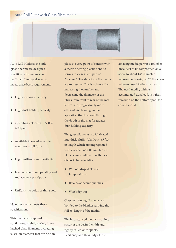# Auto Roll Filter with Glass Fibre media



Auto Roll Mediaiis the only specifically for renewable media air filter service which meets these basic requirements : glass fiber media designed

- High cleaning efficiency
- High dust holding capacity
- lOperating velocities of 500 to 600 fpm
- Available in easy-to-handle continuous roll form
- High resiliency and flexibility
- Inexpensive from operating and replacement standpoint
- Uniform no voids or thin spots

No other media meets these specifications

This media is composed of continuous, slightly curled, interlatched glass filaments averaging 0.001" in diameter that are held in place at every point of contact with a thermo-setting plastic bond to form a thick resilient pad or "blanket". The density of the media is progressive. This is achieved by increasing the number and decreasing the diameter of the fibres from front to rear of the mat to provide progressively more efficient air cleaning and to apportion the dust load through the depth of the mat for greater dust holding capacity.

The glass filaments are fabricated into thick, fluffy "blankets" 65 feet in length which are impregnated with a special non-flammable jelllike viscosine adhesive with these distinct characteristics :

- Will not drip at elevated temperatures
- Retains adhesive qualities
- lWon't dry out

Glass reinforcing filaments are bonded to the blanket running the full 65' length of the media.

The impregnated media is cut into strips of the desired width and tightly rolled onto spools. Resiliency and flexibility of this

amazing media permit a roll of 65 lineal feet to be compressed on a spool to about 13" diameter yet resume its original 2" thickness when exposed to the air stream. The used media, with its accumulated dust load, is tightly rewound on the bottom spool for easy disposal.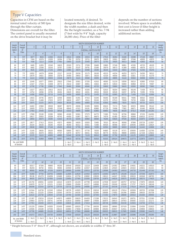# Type V Capacities

Capacities in CFM are based on the normal rated velocity of 500 fpm through the filter curtain. Dimensions are overall for the filter. The control panel is usually mounted on the drive bracket but it may be

located remotely, if desired. To designate the size filter desired, write the width number, a dash and then the the height number, as a No. 7-94 (7 feet wide by 9'4" high, capacity 26,000 cfm). Price of the filter

depends on the number of sections involved. Where space is available, first cost is lower if filter height is increased rather than adding additional section.

| Height           | Overall                     |                | <b>WIDTH DESIGNATION NUMBER</b> |                |                |                       |                |                      |                              |                       |                |                         |                        |                  |                       | Height     |
|------------------|-----------------------------|----------------|---------------------------------|----------------|----------------|-----------------------|----------------|----------------------|------------------------------|-----------------------|----------------|-------------------------|------------------------|------------------|-----------------------|------------|
| Desig-<br>nation | Height<br><sub>of</sub>     | $\overline{3}$ | $\overline{4}$                  | 5              | 6              | $\overline{7}$        | 8              | 9                    | 10                           | $\overline{1}$        | 12             | 13                      | 14                     | 15               | 16                    | Desig-     |
|                  |                             |                |                                 |                |                |                       |                |                      | <b>OVERALL WIDTH IN FEET</b> |                       |                |                         |                        |                  |                       | nation     |
| No.              | Filter                      | 3'             | $4^{\circ}$                     | $5'$           | 6 <sup>1</sup> | 7'                    | 8'             | 9'                   | 10'                          | 11'                   | 12'            | 13'                     | 14'                    | 15'              | 16'                   | No.        |
| 50               | 5'0'                        | 6877           | 9633                            | 12383          | 15132          | 16510                 | 19266          | 22015                | 24765                        | 27515                 | 30264          | 31648                   | 34398                  | 37148            | 39897                 | $50\,$     |
| 54<br>58         | 5'4''<br>5'8''              | 7404<br>7938   | 10376<br>11113                  | 13335<br>14288 | 16294<br>17463 | 17780<br>19050        | 20752<br>22225 | 23711<br>25400       | 26670<br>28575               | 29635<br>31750        | 32601<br>34925 | 34087<br>36513          | 37046<br>39688         | 40005<br>42863   | 42970<br>46038        | 54<br>58   |
| 60               | 6'0''                       | 8465           | 11855                           | 15240          | 18625          | 20320                 | 23711          | 27095                | 30480                        | 33865                 | 37249          | 38951                   | 42335                  | 45720            | 49105                 | 60         |
| 64               | 6'4''                       | 8992           | 12598                           | 16193          | 19787          | 21590                 | 25197          | 28791                | 32385                        | 35979                 | 39573          | 41389                   | 44983                  | 48578            | 52172                 | 64         |
| 68               | 6'8''                       | 9525           | 13335                           | 17145          | 20955          | 22860                 | 26670          | 30480                | 34290                        | 38100                 | 41910          | 43815                   | 47625                  | 51435            | 55245                 | 68         |
| 70<br>74         | 7'0''<br>7'4''              | 10052<br>10579 | 14078<br>14821                  | 18098<br>19050 | 22117<br>23279 | 24130<br>25400        | 28156<br>29642 | 32175<br>33871       | 36195<br>38100               | 40215<br>42329        | 44234<br>46558 | 46253<br>48692          | 50273<br>52921         | 54293<br>57150   | 58312<br>61379        | 70<br>74   |
| 78               | 7'8''                       | 11113          | 15558                           | 20003          | 24448          | 26670                 | 31115          | 35560                | 40005                        | 44450                 | 48895          | 51118                   | 55563                  | 60008            | 64453                 | 78         |
| 80               | 8'0''                       | 11640          | 16377                           | 20955          | 25610          | 27940                 | 32601          | 37255                | 41910                        | 46565                 | 51219          | 53556                   | 58210                  | 62865            | 67520                 | 80         |
| 84<br>88         | 8'4''<br>8'8''              | 12167<br>12700 | 17043<br>17780                  | 21908<br>22860 | 26772<br>27940 | 29210<br>30480        | 34087<br>35560 | 38951<br>40640       | 43815<br>45720               | 48679<br>50800        | 53543<br>55880 | 55994<br>58420          | 60858<br>63500         | 65723<br>68580   | 70587<br>73660        | 84<br>88   |
| 90               | 9'0''                       | 13227          | 18523                           | 23813          | 29102          | 31750                 | 37046          | 42335                | 47625                        | 52915                 | 58204          | 60858                   | 66148                  | 71438            | 76727                 | 90         |
| 94               | 9'4''                       | 13754          | 19266                           | 24765          | 30264          | 33020                 | 38532          | 44031                | 49530                        | 55029                 | 60528          | 63297                   | 68796                  | 74295            | 79794                 | 94         |
| 98               | 9'8''                       | 14288          | 20003                           | 25718          | 31433          | 34290                 | 40005          | 45720                | 51435                        | 57150                 | 62865          | 65723                   | 71438                  | 77153            | 82868                 | 98         |
| 100              | 10'0''                      | 14815          | 20745                           | 26670          | 32595          | 35560                 | 41491          | 47415                | 53340                        | 59265                 | 65189          | 68161                   | 74085                  | 80010            | 85935                 | 100        |
| 104<br>108       | 10'4''<br>10'8''            | 15342<br>15875 | 21488<br>22225                  | 27623<br>28575 | 33757<br>34925 | 36830<br>38100        | 42977<br>44450 | 49111<br>50800       | 55245<br>57150               | 61379<br>63500        | 67513<br>69850 | 70599<br>73025          | 76733<br>79375         | 82868<br>85725   | 89002<br>92075        | 104<br>108 |
| 110              | 11'0''                      | 16402          | 22968                           | 29528          | 36087          | 39370                 | 45936          | 52495                | 59055                        | 65615                 | 72174          | 75463                   | 82023                  | 88583            | 95142                 | 110        |
| 114              | 11'4''                      | 16929          | 23711                           | 30480          | 37249          | 40640                 | 47422          | 54191                | 60960                        | 67729                 | 74498          | 77902                   | 84671                  | 91440            | 98209                 | 114        |
| 118              | 11'8''                      | 17463          | 24448                           | 31433          | 38418          | 41910                 | 48895          | 55880                | 62865                        | 69850                 | 76835          | 80328                   | 87313                  | 94298            | 101283                | 118        |
| 120<br>124       | 12'0''<br>12'4''            | 17990<br>18517 | 25190<br>25933                  | 32385<br>33338 | 39580<br>40742 | 43180<br>44450        | 50381<br>51867 | 57575<br>59271       | 64770<br>66675               | 71965<br>74079        | 79159<br>81483 | 82766<br>85204          | 89960<br>92608         | 97155<br>100013  | 104350<br>107417      | 120<br>124 |
| 128              | 12'8''                      | 19050          | 26670                           | 34290          | 41910          | 45720                 | 53340          | 60960                | 68580                        | 76200                 | 83820          | 87630                   | 95250                  | 102870           | 110490                | 128        |
| 130              | 13'0''                      | 19577          | 27413                           | 35243          | 43072          | 46990                 | 54826          | 62655                | 70485                        | 78315                 | 86144          | 90068                   | 97898                  | 105728           | 113557                | 130        |
| 134<br>138       | 13'4''<br>13'8"             | 20104<br>20638 | 28156<br>28893                  | 36195<br>37148 | 44234<br>45403 | 48260<br>49530        | 56312<br>57785 | 64351<br>66040       | 72390<br>74295               | 80429<br>82550        | 88468<br>90805 | 92507<br>94933          | 100546<br>103188       | 108585<br>111443 | 116624<br>119698      | 134<br>138 |
| 140              | 14'0''                      | 21165          | 29635                           | 38100          | 46565          | 50800                 | 59271          | 67735                | 76200                        | 84665                 | 93129          | 97371                   | 105835                 | 114300           | 122765                | 140        |
| 144              | 14'4''                      | 21692          | 30378                           | 39053          | 47727          | 52070                 | 60757          | 69431                | 78105                        | 86779                 | 95453          | 99809                   | 108483                 | 117158           | 125832                | 144        |
| 148              | 14'8''                      | 22225          | 31115                           | 40005          | 48895          | 53340                 | 62230          | 71120                | 80010                        | 88900                 | 97790          | 102235                  | 111125                 | 120015           | 128905                | 148        |
| 150              | 15'0''                      | 22752          | 31858                           | 40958          | 50057          | 54610                 | 63716          | 72815                | 81915                        | 91015                 | 100114         | 104673                  | 113773                 | 122873           | 131972                | 150        |
|                  | No. and Width<br>of Section |                |                                 |                |                | $1 - No3$<br>1 - No 4 | $2 - No4$      | 1 - No 5<br>1 - No 4 | $2 - No5$                    | $1 - No6$<br>1 - No 5 | $2 - No6$      | $2 - No4$<br>$2 - No 6$ | $2 - No 5$<br>1 - No 4 | $3 - No.5$       | $2 - No5$<br>1 - No 6 |            |
|                  |                             |                |                                 |                |                |                       |                |                      |                              |                       |                |                         |                        |                  |                       |            |

| Height<br>Desig-<br>nation | Overall<br>Height<br>$\Omega$<br>Filter |                  | WIDTH DESIGNATION NUMBER     |                  |                  |                  |                  |                  |                  |                  |                  |                  |                  |                  |                  | <b>Height</b> |
|----------------------------|-----------------------------------------|------------------|------------------------------|------------------|------------------|------------------|------------------|------------------|------------------|------------------|------------------|------------------|------------------|------------------|------------------|---------------|
|                            |                                         | 17               | 18                           | 19               | 20               | 21               | 22               | 23               | 24               | 25               | 26               | 27               | 28               | 29               | 30               | Desig-        |
|                            |                                         |                  | <b>OVERALL WIDTH IN FEFT</b> |                  |                  |                  |                  |                  |                  |                  |                  |                  |                  |                  |                  |               |
| No.                        |                                         | 17'              | 18'                          | 19'              | 20'              | 21'              | 22'              | 23'              | 24'              | 25'              | 26'              | 27'              | 28'              | 29'              | 30'              | No.           |
| 90                         | 9'0''                                   | 82017            | 87306                        | 89960            | 95250            | 100540           | 105829           | 111119           | 116408           | 119063           | 124352           | 129642           | 134931           | 140221           | 145510           | 90            |
| 94<br>98                   | 9'4''<br>9'8''                          | 85293<br>88583   | 90792<br>94298               | 93561<br>97155   | 99060<br>102870  | 104559<br>108585 | 110058<br>114300 | 115557<br>120015 | 121056<br>125730 | 123825<br>128588 | 129324<br>134303 | 134823<br>140018 | 140322<br>145733 | 145821<br>151448 | 151321<br>157163 | 94<br>98      |
|                            | 10'0''                                  |                  |                              |                  | 106680           |                  |                  |                  |                  |                  |                  |                  |                  | 157048           |                  |               |
| 100<br>104                 | 10'4"                                   | 91859<br>95136   | 97784<br>101270              | 100755<br>104356 | 110490           | 112605<br>116624 | 118529<br>122758 | 124454<br>128892 | 130378<br>135026 | 133350<br>138113 | 139275<br>144247 | 145199<br>150381 | 151124<br>156515 | 162649           | 162973<br>168783 | 100<br>104    |
| 108                        | 10'8"                                   | 98425            | 104775                       | 107950           | 114300           | 120650           | 127000           | 133350           | 139700           | 142875           | 149225           | 155575           | 161925           | 168275           | 174625           | 108           |
| 110                        | 11'0''                                  | 101702           | 108261                       | 111550           | 118110           | 124670           | 131229           | 137789           | 144348           | 147638           | 154197           | 160757           | 167316           | 173876           | 180435           | 110           |
| 114<br>118                 | 11'4''<br>11'8''                        | 104978<br>108268 | 111747<br>115253             | 115151<br>118745 | 121920<br>125730 | 128689<br>132715 | 135458<br>139700 | 142227<br>146685 | 148996<br>153670 | 152400<br>157163 | 159169<br>164148 | 165938<br>171133 | 172707<br>178118 | 179476<br>185103 | 186246<br>192088 | 114<br>118    |
|                            |                                         |                  |                              |                  |                  |                  |                  |                  |                  |                  |                  |                  |                  |                  |                  |               |
| 120<br>124                 | 12'0''<br>12'4''                        | 111544<br>114821 | 118739<br>122225             | 122345<br>125946 | 129540<br>133350 | 136735<br>140754 | 143929<br>148158 | 151124<br>155562 | 158318<br>162966 | 161925<br>166688 | 169120<br>174092 | 176314<br>181496 | 183509<br>188900 | 190703<br>196533 | 197898<br>203708 | 120<br>124    |
| 128                        | 12'8''                                  | 118110           | 125730                       | 129540           | 137160           | 144780           | 152400           | 160020           | 167640           | 171450           | 179070           | 186690           | 194310           | 201930           | 209550           | 128           |
| 130                        | 13'0"                                   | 121387           | 129216                       | 133140           | 140970           | 148800           | 156629           | 164459           | 172288           | 176213           | 184042           | 191872           | 199701           | 207531           | 215360           | 130           |
| 134                        | 13'4''                                  | 124663           | 132702                       | 136741           | 144780           | 152819           | 160858           | 168897           | 176936           | 180975           | 189014           | 197053           | 205092           | 213131           | 221171           | 134           |
| 138                        | 13'8''                                  | 127953           | 136208                       | 140272           | 148590           | 156845           | 165100           | 173419           | 181610           | 185738           | 193993           | 202248           | 210503           | 218758           | 227013           | 138           |
| 140<br>144                 | 14'0''<br>14'4''                        | 131229<br>134506 | 139694<br>143180             | 143935<br>147536 | 152400<br>156210 | 160865<br>164884 | 169329<br>173558 | 177794<br>182232 | 186258<br>190906 | 190500<br>195263 | 198965<br>203937 | 207429<br>212611 | 215894<br>221285 | 224358<br>229959 | 232823<br>238633 | 140<br>144    |
| 148                        | 14'8"                                   | 137795           | 146685                       | 151130           | 160020           | 168910           | 177800           | 186690           | 195580           | 200025           | 208915           | 217805           | 226695           | 235585           | 244475           | 148           |
| 150                        | 15'0''                                  | 141072           | 150171                       | 154730           | 163830           | 172930           | 182029           | 191129           | 200228           | 204788           | 213887           | 222987           | 232086           | 241186           | 250285           | 150           |
|                            | No. and Width                           | $2 - No6$        | $3 - No6$                    | $1 - No4$        | $4 - No.5$       | $3 - No5$        | $2 - No6$        | $3 - No6$        | $4 - No6$        | $5 - No6$        | 4 - No 5         | $3 - No5$        | $3 - No6$        | 4 - No 6         | $5 - No6$        |               |
|                            | of Section                              | $1 - No 5$       |                              | $3 - No 5$       |                  | 1 - No 6         | $2 - No5$        | 1 - No 5         |                  |                  | 1 - No 6         | $2 - No 6$       | $2 - No5$        | $1 - No5$        |                  |               |

\* Height between 5'-0" thru 8'-8", although not shown, are available in widths 17' thru 30'.